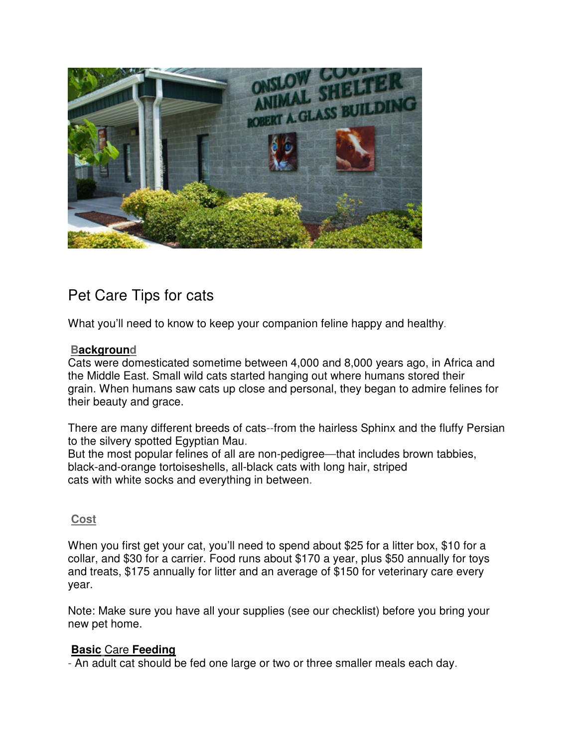

# Pet Care Tips for cats

What you'll need to know to keep your companion feline happy and healthy.

#### **Background**

Cats were domesticated sometime between 4,000 and 8,000 years ago, in Africa and the Middle East. Small wild cats started hanging out where humans stored their grain. When humans saw cats up close and personal, they began to admire felines for their beauty and grace.

There are many different breeds of cats--from the hairless Sphinx and the fluffy Persian to the silvery spotted Egyptian Mau. But the most popular felines of all are non-pedigree—that includes brown tabbies,

black-and-orange tortoiseshells, all-black cats with long hair, striped cats with white socks and everything in between.

## **Cost**

When you first get your cat, you'll need to spend about \$25 for a litter box, \$10 for a collar, and \$30 for a carrier. Food runs about \$170 a year, plus \$50 annually for toys and treats, \$175 annually for litter and an average of \$150 for veterinary care every year.

Note: Make sure you have all your supplies (see our checklist) before you bring your new pet home.

## **Basic** Care **Feeding**

- An adult cat should be fed one large or two or three smaller meals each day.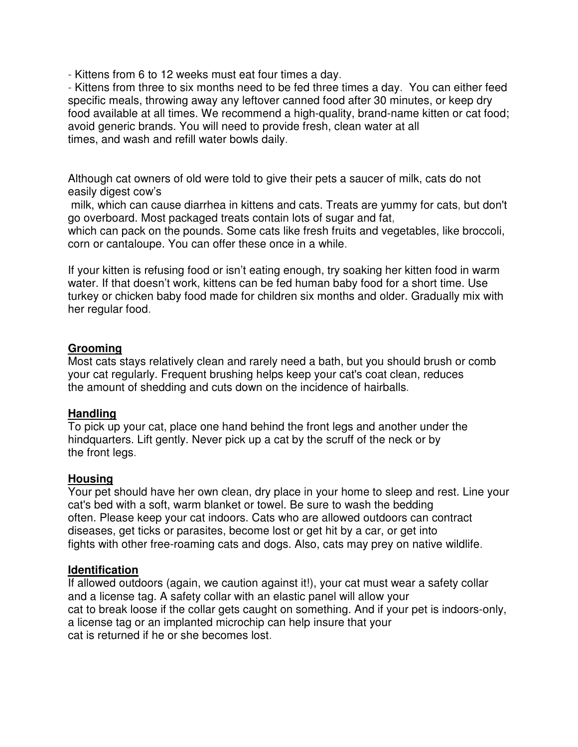- Kittens from 6 to 12 weeks must eat four times a day.

- Kittens from three to six months need to be fed three times a day. You can either feed specific meals, throwing away any leftover canned food after 30 minutes, or keep dry food available at all times. We recommend a high-quality, brand-name kitten or cat food; avoid generic brands. You will need to provide fresh, clean water at all times, and wash and refill water bowls daily.

Although cat owners of old were told to give their pets a saucer of milk, cats do not easily digest cow's

 milk, which can cause diarrhea in kittens and cats. Treats are yummy for cats, but don't go overboard. Most packaged treats contain lots of sugar and fat,

which can pack on the pounds. Some cats like fresh fruits and vegetables, like broccoli, corn or cantaloupe. You can offer these once in a while.

If your kitten is refusing food or isn't eating enough, try soaking her kitten food in warm water. If that doesn't work, kittens can be fed human baby food for a short time. Use turkey or chicken baby food made for children six months and older. Gradually mix with her regular food.

#### **Grooming**

Most cats stays relatively clean and rarely need a bath, but you should brush or comb your cat regularly. Frequent brushing helps keep your cat's coat clean, reduces the amount of shedding and cuts down on the incidence of hairballs.

#### **Handling**

To pick up your cat, place one hand behind the front legs and another under the hindquarters. Lift gently. Never pick up a cat by the scruff of the neck or by the front legs.

#### **Housing**

Your pet should have her own clean, dry place in your home to sleep and rest. Line your cat's bed with a soft, warm blanket or towel. Be sure to wash the bedding often. Please keep your cat indoors. Cats who are allowed outdoors can contract diseases, get ticks or parasites, become lost or get hit by a car, or get into fights with other free-roaming cats and dogs. Also, cats may prey on native wildlife.

#### **Identification**

If allowed outdoors (again, we caution against it!), your cat must wear a safety collar and a license tag. A safety collar with an elastic panel will allow your cat to break loose if the collar gets caught on something. And if your pet is indoors-only, a license tag or an implanted microchip can help insure that your cat is returned if he or she becomes lost.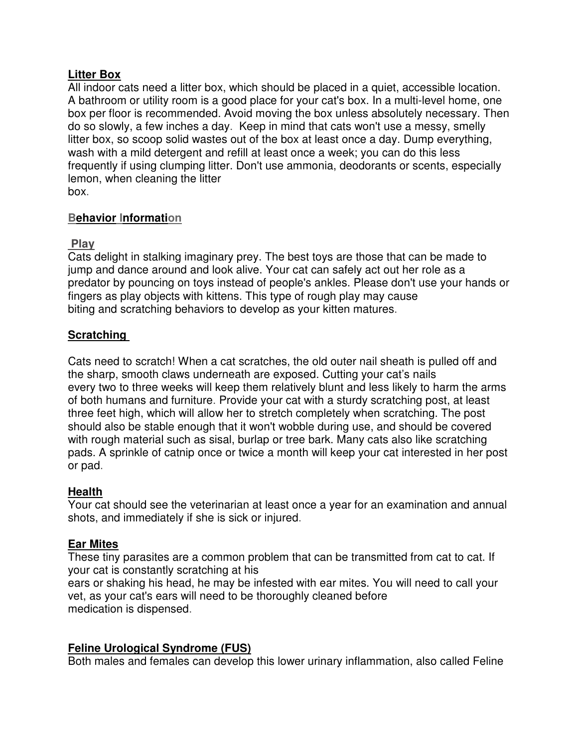## **Litter Box**

All indoor cats need a litter box, which should be placed in a quiet, accessible location. A bathroom or utility room is a good place for your cat's box. In a multi-level home, one box per floor is recommended. Avoid moving the box unless absolutely necessary. Then do so slowly, a few inches a day. Keep in mind that cats won't use a messy, smelly litter box, so scoop solid wastes out of the box at least once a day. Dump everything, wash with a mild detergent and refill at least once a week; you can do this less frequently if using clumping litter. Don't use ammonia, deodorants or scents, especially lemon, when cleaning the litter box.

## **Behavior Information**

## **Play**

Cats delight in stalking imaginary prey. The best toys are those that can be made to jump and dance around and look alive. Your cat can safely act out her role as a predator by pouncing on toys instead of people's ankles. Please don't use your hands or fingers as play objects with kittens. This type of rough play may cause biting and scratching behaviors to develop as your kitten matures.

## **Scratching**

Cats need to scratch! When a cat scratches, the old outer nail sheath is pulled off and the sharp, smooth claws underneath are exposed. Cutting your cat's nails every two to three weeks will keep them relatively blunt and less likely to harm the arms of both humans and furniture. Provide your cat with a sturdy scratching post, at least three feet high, which will allow her to stretch completely when scratching. The post should also be stable enough that it won't wobble during use, and should be covered with rough material such as sisal, burlap or tree bark. Many cats also like scratching pads. A sprinkle of catnip once or twice a month will keep your cat interested in her post or pad.

## **Health**

Your cat should see the veterinarian at least once a year for an examination and annual shots, and immediately if she is sick or injured.

## **Ear Mites**

These tiny parasites are a common problem that can be transmitted from cat to cat. If your cat is constantly scratching at his ears or shaking his head, he may be infested with ear mites. You will need to call your vet, as your cat's ears will need to be thoroughly cleaned before medication is dispensed.

## **Feline Urological Syndrome (FUS)**

Both males and females can develop this lower urinary inflammation, also called Feline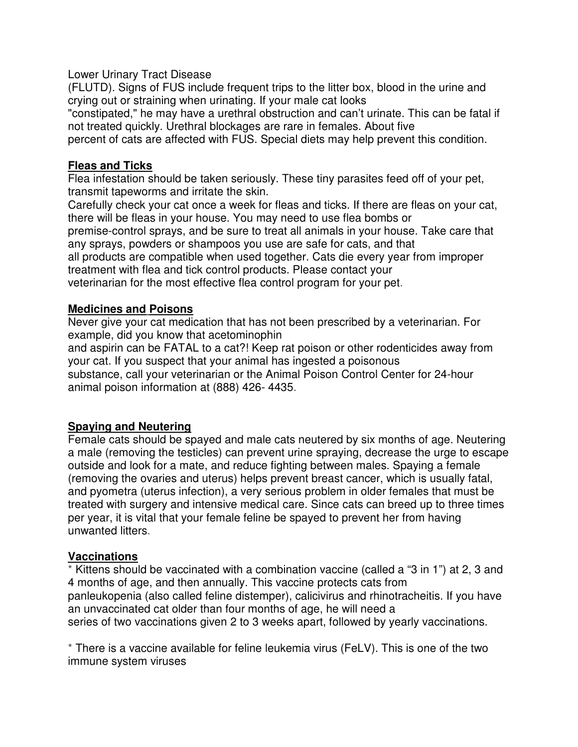Lower Urinary Tract Disease

(FLUTD). Signs of FUS include frequent trips to the litter box, blood in the urine and crying out or straining when urinating. If your male cat looks

"constipated," he may have a urethral obstruction and can't urinate. This can be fatal if not treated quickly. Urethral blockages are rare in females. About five

percent of cats are affected with FUS. Special diets may help prevent this condition.

#### **Fleas and Ticks**

Flea infestation should be taken seriously. These tiny parasites feed off of your pet, transmit tapeworms and irritate the skin.

Carefully check your cat once a week for fleas and ticks. If there are fleas on your cat, there will be fleas in your house. You may need to use flea bombs or

premise-control sprays, and be sure to treat all animals in your house. Take care that any sprays, powders or shampoos you use are safe for cats, and that

all products are compatible when used together. Cats die every year from improper treatment with flea and tick control products. Please contact your

veterinarian for the most effective flea control program for your pet.

#### **Medicines and Poisons**

Never give your cat medication that has not been prescribed by a veterinarian. For example, did you know that acetominophin

and aspirin can be FATAL to a cat?! Keep rat poison or other rodenticides away from your cat. If you suspect that your animal has ingested a poisonous substance, call your veterinarian or the Animal Poison Control Center for 24-hour animal poison information at (888) 426- 4435.

## **Spaying and Neutering**

Female cats should be spayed and male cats neutered by six months of age. Neutering a male (removing the testicles) can prevent urine spraying, decrease the urge to escape outside and look for a mate, and reduce fighting between males. Spaying a female (removing the ovaries and uterus) helps prevent breast cancer, which is usually fatal, and pyometra (uterus infection), a very serious problem in older females that must be treated with surgery and intensive medical care. Since cats can breed up to three times per year, it is vital that your female feline be spayed to prevent her from having unwanted litters.

## **Vaccinations**

\* Kittens should be vaccinated with a combination vaccine (called a "3 in 1") at 2, 3 and 4 months of age, and then annually. This vaccine protects cats from panleukopenia (also called feline distemper), calicivirus and rhinotracheitis. If you have an unvaccinated cat older than four months of age, he will need a series of two vaccinations given 2 to 3 weeks apart, followed by yearly vaccinations.

\* There is a vaccine available for feline leukemia virus (FeLV). This is one of the two immune system viruses